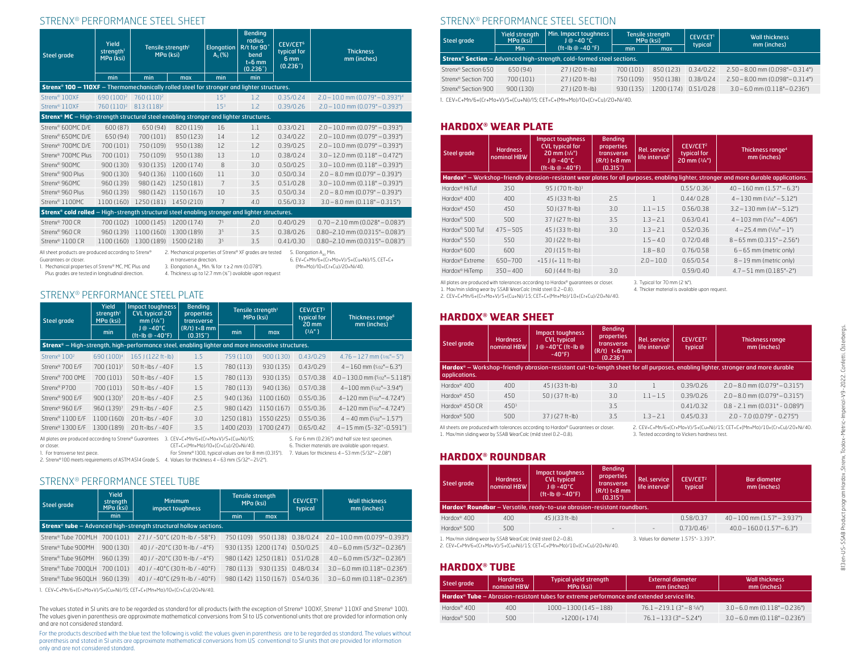### STRENX® PERFORMANCE STEEL SHEET

| Yield<br>Tensile strength <sup>1</sup><br>strength <sup>1</sup><br>MPa (ksi)<br><b>Steel grade</b><br>MPa (ksi)                                                                                                                                                                                                                                                                                                      |                        |                        | <b>Elongation</b><br>$A_5$ (%) | <b>Bending</b><br>radius<br>R/t for 90°<br>bend<br>$t=6$ mm<br>(0.236 <sup>7</sup> ) | CEV/CET <sup>6</sup><br>typical for<br>6 mm<br>(0.236 <sup>7</sup> ) | <b>Thickness</b><br>mm (inches) |                                                  |
|----------------------------------------------------------------------------------------------------------------------------------------------------------------------------------------------------------------------------------------------------------------------------------------------------------------------------------------------------------------------------------------------------------------------|------------------------|------------------------|--------------------------------|--------------------------------------------------------------------------------------|----------------------------------------------------------------------|---------------------------------|--------------------------------------------------|
|                                                                                                                                                                                                                                                                                                                                                                                                                      | min                    | min                    | max                            | min                                                                                  | min                                                                  |                                 |                                                  |
| Strenx <sup>®</sup> 100 - 110XF - Thermomechanically rolled steel for stronger and lighter structures.                                                                                                                                                                                                                                                                                                               |                        |                        |                                |                                                                                      |                                                                      |                                 |                                                  |
| Strenx <sup>®</sup> 100XF                                                                                                                                                                                                                                                                                                                                                                                            | 690 (100) <sup>2</sup> | 760 (110) <sup>2</sup> |                                | 153                                                                                  | 1.2                                                                  | 0.35/0.24                       | $2.0 - 10.0$ mm $(0.079" - 0.393")$ <sup>4</sup> |
| Strenx <sup>®</sup> 110XF                                                                                                                                                                                                                                                                                                                                                                                            | 760 (110) <sup>2</sup> | 813 (118) <sup>2</sup> |                                | 15 <sup>3</sup>                                                                      | 1.2                                                                  | 0.39/0.26                       | $2.0 - 10.0$ mm $(0.079" - 0.393")$              |
| <b>Strenx<sup>®</sup> MC</b> - High-strength structural steel enabling stronger and lighter structures.                                                                                                                                                                                                                                                                                                              |                        |                        |                                |                                                                                      |                                                                      |                                 |                                                  |
| Strenx® 600MC D/E                                                                                                                                                                                                                                                                                                                                                                                                    | 600 (87)               | 650 (94)               | 820 (119)                      | 16                                                                                   | 1.1                                                                  | 0.33/0.21                       | $2.0 - 10.0$ mm $(0.079" - 0.393")$              |
| Strenx® 650MC D/F                                                                                                                                                                                                                                                                                                                                                                                                    | 650 (94)               | 700 (101)              | 850 (123)                      | 14                                                                                   | 1.7                                                                  | 0.34/0.22                       | $2.0 - 10.0$ mm (0.079" - 0.393")                |
| Strenx <sup>®</sup> 700MC D/E                                                                                                                                                                                                                                                                                                                                                                                        | 700 (101)              | 750 (109)              | 950 (138)                      | 12                                                                                   | 1.2                                                                  | 0.39/0.25                       | $2.0 - 10.0$ mm $(0.079" - 0.393")$              |
| Strenx <sup>®</sup> 700MC Plus                                                                                                                                                                                                                                                                                                                                                                                       | 700 (101)              | 750 (109)              | 950 (138)                      | 13                                                                                   | 1.0                                                                  | 0.38/0.24                       | $3.0 - 12.0$ mm (0.118" $- 0.472$ ")             |
| Strenx <sup>®</sup> 900MC                                                                                                                                                                                                                                                                                                                                                                                            | 900(130)               | 930 (135)              | 1200 (174)                     | 8                                                                                    | 3.0                                                                  | 0.50/0.25                       | $3.0 - 10.0$ mm $(0.118" - 0.393")$              |
| Strenx <sup>®</sup> 900 Plus                                                                                                                                                                                                                                                                                                                                                                                         | 900 (130)              | 940 (136)              | 1100 (160)                     | 11                                                                                   | 3.0                                                                  | 0.50/0.34                       | $2.0 - 8.0$ mm (0.079" - 0.393")                 |
| Strenx <sup>®</sup> 960MC                                                                                                                                                                                                                                                                                                                                                                                            | 960 (139)              | 980 (142)              | 1250 (181)                     | 7                                                                                    | 3.5                                                                  | 0.51/0.28                       | $3.0 - 10.0$ mm $(0.118" - 0.393")$              |
| Strenx <sup>®</sup> 960 Plus                                                                                                                                                                                                                                                                                                                                                                                         | 960 (139)              | 980 (142)              | 1150 (167)                     | 10                                                                                   | 3.5                                                                  | 0.50/0.34                       | $2.0 - 8.0$ mm (0.079" - 0.393")                 |
| Strenx <sup>®</sup> 1100MC                                                                                                                                                                                                                                                                                                                                                                                           | 1100 (160)             | 1250 (181)             | 1450 (210)                     | 7                                                                                    | 4.0                                                                  | 0.56/0.33                       | $3.0 - 8.0$ mm $(0.118" - 0.315")$               |
| Strenx® cold rolled - High-strength structural steel enabling stronger and lighter structures.                                                                                                                                                                                                                                                                                                                       |                        |                        |                                |                                                                                      |                                                                      |                                 |                                                  |
| Strenx <sup>®</sup> 700 CR                                                                                                                                                                                                                                                                                                                                                                                           | 700 (102)              | 1000 (145)             | 1200 (174)                     | 7 <sup>5</sup>                                                                       | 2.0                                                                  | 0.40/0.29                       | $0.70 - 2.10$ mm (0.028" - 0.083")               |
| Strenx <sup>®</sup> 960 CR                                                                                                                                                                                                                                                                                                                                                                                           | 960 (139)              | 1100 (160)             | 1300 (189)                     | 3 <sup>5</sup>                                                                       | 3.5                                                                  | 0.38/0.26                       | $0.80 - 2.10$ mm $(0.0315" - 0.083")$            |
| Strenx <sup>®</sup> 1100 CR                                                                                                                                                                                                                                                                                                                                                                                          | 1100 (160)             | 1300 (189)             | 1500 (218)                     | 3 <sup>5</sup>                                                                       | 3.5                                                                  | 0.41/0.30                       | $0.80 - 2.10$ mm $(0.0315" - 0.083")$            |
| All sheet products are produced according to Strenx®<br>2. Mechanical properties of Strenx® XF grades are tested<br>5. Elongation A <sub>on</sub> Min.<br>Guarantees or closer.<br>in transverse direction.<br>6. EV=C+Mn/6+(Cr+Mo+V)/5+(Cu+Ni)/15. CET=C+<br>1. Mechanical properties of Strenx® MC, MC Plus and<br>3. Elongation A <sub>co</sub> Min. % for $t \ge 2$ mm (0.078").<br>(Mn+Mo)/10+(Cr+Cu)/20+Ni/40. |                        |                        |                                |                                                                                      |                                                                      |                                 |                                                  |

Plus grades are tested in longitudinal direction.

4. Thickness up to 12.7 mm (½˝) available upon request

#### STRENX® PERFORMANCE STEEL PLATE

| Steel grade                                                                                                                                                                                                                                                   | Yield<br>strength <sup>1</sup><br>MPa (ksi) | Impact toughness<br><b>CVL typical 20</b><br>mm (3/4") | <b>Bending</b><br>properties<br>transverse |            | Tensile strength <sup>1</sup><br>MPa (ksi) | CEV/CET <sup>3</sup><br>typical for<br>$20 \,\mathrm{mm}$ | Thickness range <sup>6</sup><br>mm (inches) |  |  |
|---------------------------------------------------------------------------------------------------------------------------------------------------------------------------------------------------------------------------------------------------------------|---------------------------------------------|--------------------------------------------------------|--------------------------------------------|------------|--------------------------------------------|-----------------------------------------------------------|---------------------------------------------|--|--|
|                                                                                                                                                                                                                                                               | min                                         | $J @ -40°C$                                            | $(R/t)$ t<8 mm<br>(0.315'')                | min        | max                                        | (3/4)                                                     |                                             |  |  |
| <b>Strenx<sup>®</sup></b> – High-strength, high-performance steel, enabling lighter and more innovative structures.                                                                                                                                           |                                             |                                                        |                                            |            |                                            |                                                           |                                             |  |  |
| Strenx <sup>®</sup> 100 <sup>2</sup>                                                                                                                                                                                                                          | 690 (100) <sup>4</sup>                      | 165 J (122 ft-lb)                                      | 1.5                                        | 759 (110)  | 900 (130)                                  | 0.43/0.29                                                 | $4.76 - 127$ mm $(3.6" - 5")$               |  |  |
| Strenx <sup>®</sup> 700 E/F                                                                                                                                                                                                                                   | 700 (101) <sup>7</sup>                      | 50 ft-lbs / -40 F                                      | 1.5                                        | 780 (113)  | 930 (135)                                  | 0.43/0.29                                                 | $4 - 160$ mm $(5/32" - 6.3")$               |  |  |
| Strenx <sup>®</sup> 700 OME                                                                                                                                                                                                                                   | 700 (101)                                   | 50 ft-lbs / -40 F                                      | 1.5                                        | 780 (113)  | 930 (135)                                  | 0.57/0.38                                                 | $4.0 - 130.0$ mm $(5/32" - 5.118")$         |  |  |
| Strenx <sup>®</sup> P700                                                                                                                                                                                                                                      | 700 (101)                                   | 50 ft-lbs / $-40$ F                                    | 1.5                                        | 780 (113)  | 940 (136)                                  | 0.57/0.38                                                 | $4-100$ mm $(5/32" - 3.94")$                |  |  |
| Strenx <sup>®</sup> 900 E/F                                                                                                                                                                                                                                   | 900 (130) <sup>7</sup>                      | 20 ft-lbs / -40 F                                      | 2.5                                        | 940 (136)  | 1100 (160)                                 | 0.55/0.36                                                 | $4 - 120$ mm $(5/32" - 4.724")$             |  |  |
| Strenx <sup>®</sup> 960 E/F                                                                                                                                                                                                                                   | 960 (139) <sup>7</sup>                      | 29 ft-lbs / -40 F                                      | 2.5                                        | 980 (142)  | 1150 (167)                                 | 0.55/0.36                                                 | $4 - 120$ mm $(5/32" - 4.724")$             |  |  |
| Strenx <sup>®</sup> 1100 E/F                                                                                                                                                                                                                                  | 1100 (160)                                  | 20 ft-lbs / -40 F                                      | 3.0                                        | 1250(181)  | 1550 (225)                                 | 0.55/0.36                                                 | $4 - 40$ mm $(5/32 - 1.57)$                 |  |  |
| Strenx <sup>®</sup> 1300 E/F                                                                                                                                                                                                                                  | 1300 (189)                                  | 20 ft-lbs / -40 F                                      | 3.5                                        | 1400 (203) | 1700 (247)                                 | 0.65/0.42                                                 | $4 - 15$ mm $(5 - 32 - 0.591)$              |  |  |
| All plates are produced according to Strenx® Guarantees<br>3. CEV=C+Mn/6+(Cr+Mo+V)/5+(Cu+Ni)/15;<br>5. For 6 mm (0.236") and half size test specimen.<br>6. Thicker materials are available upon request.<br>CET=C+(Mn+Mo)/10+(Cr+Cu)/20+Ni/40.<br>or closer. |                                             |                                                        |                                            |            |                                            |                                                           |                                             |  |  |

1. For transverse test piece. For Strenx® 1300, typical values are for 8 mm (0.315"). 7. Values for thickness 4–53 mm (5/32"–2.08")

2. Strenx® 100 meets requirements of ASTM A514 Grade S. 4. Values for thickness 4–63 mm (5/32"–21/2").

## STRENX® PERFORMANCE STEEL TUBE

| <b>Steel grade</b>              | Yield<br>strength<br>MPa (ksi) | <b>Minimum</b><br>impact toughness                                                  |           | <b>Tensile strength</b><br>MPa (ksi) | <b>CEV/CET1</b><br>typical | <b>Wall thickness</b><br>mm (inches) |
|---------------------------------|--------------------------------|-------------------------------------------------------------------------------------|-----------|--------------------------------------|----------------------------|--------------------------------------|
|                                 | min                            |                                                                                     | min       | max                                  |                            |                                      |
|                                 |                                | <b>Strenx<sup>®</sup> tube</b> - Advanced high-strength structural hollow sections. |           |                                      |                            |                                      |
| Strenx® Tube 700MLH             | 700 (101)                      | 27 J / -50°C (20 ft-lb / -58°F)                                                     | 750 (109) | 950(138)                             | 0.38/0.24                  | $2.0 - 10.0$ mm (0.079" $- 0.393$ ") |
| Strenx® Tube 900MH              | 900 (130)                      | 40 J / -20 $^{\circ}$ C (30 ft-lb / -4 $^{\circ}$ F)                                |           | 930 (135) 1200 (174) 0.50/0.25       |                            | $4.0 - 6.0$ mm $(5/32" - 0.236")$    |
| Strenx <sup>®</sup> Tube 960MH  | 960 (139)                      | 40 J / -20°C (30 ft-lb / -4°F)                                                      |           | 980(142) 1250(181)                   | 0.51/0.28                  | $4.0 - 6.0$ mm $(5/32" - 0.236")$    |
| Strenx <sup>®</sup> Tube 700QLH | 700 (101)                      | 40 J / -40°C (30 ft-lb / -40°F)                                                     | 780 (113) | 930(135)                             | 0.48/0.34                  | $3.0 - 6.0$ mm $(0.118 - 0.236)$     |
| Strenx <sup>®</sup> Tube 9600LH | 960 (139)                      | $401/-40°C$ (29 ft-lb / -40°F)                                                      |           | 980 (142) 1150 (167)                 | 0.54/0.36                  | $3.0 - 6.0$ mm $(0.118 - 0.236)$     |

1. CEV=C+Mn/6+(Cr+Mo+V)/5+(Cu+Ni)/15; CET=C+(Mn+Mo)/10+(Cr+Cu)/20+Ni/40.

The values stated in SI units are to be regarded as standard for all products (with the exception of Strenx® 100XF, Strenx® 110XF and Strenx® 100). The values given in parenthesis are approximate mathematical conversions from SI to US conventional units that are provided for information only and are not considered standard.

For the products described with the blue text the following is valid: the values given in parenthesis are to be regarded as standard. The values without parenthesis and stated in SI units are approximate mathematical conversions from US conventional to SI units that are provided for information only and are not considered standard.

## STRENX® PERFORMANCE STEEL SECTION

| Steel grade                     | Yield strength<br>MPa (ksi) | Min. Impact toughness<br>$J@ - 40 °C$                                                   | Tensile strength<br>MPa (ksi) |            | <b>CEV/CET1</b><br>typical | <b>Wall thickness</b><br>mm (inches)  |  |
|---------------------------------|-----------------------------|-----------------------------------------------------------------------------------------|-------------------------------|------------|----------------------------|---------------------------------------|--|
|                                 | <b>Min</b>                  | $(t - lb @ - 40 °F)$                                                                    | min                           | max        |                            |                                       |  |
|                                 |                             | <b>Strenx<sup>®</sup> Section</b> - Advanced high-strength, cold-formed steel sections. |                               |            |                            |                                       |  |
| Strenx <sup>®</sup> Section 650 | 650 (94)                    | $27J(20 ft-lb)$                                                                         | 700 (101)                     | 850 (123)  | 0.34/0.22                  | $2.50 - 8.00$ mm $(0.098" - 0.314")$  |  |
| Strenx <sup>®</sup> Section 700 | 700 (101)                   | $27J(20 ft-lb)$                                                                         | 750 (109)                     | 950 (138)  | 0.38/0.24                  | $2.50 - 8.00$ mm (0.098" $- 0.314$ ") |  |
| Strenx <sup>®</sup> Section 900 | 900(130)                    | $27J(20 ft-lb)$                                                                         | 930 (135)                     | 1200 (174) | 0.51/0.28                  | $3.0 - 6.0$ mm $(0.118 - 0.236)$      |  |

1. CEV=C+Mn/6+(Cr+Mo+V)/5+(Cu+Ni)/15; CET=C+(Mn+Mo)/10+(Cr+Cu)/20+Ni/40.

#### **HARDOX® WEAR PLATE**

| <b>Steel grade</b>          | <b>Hardness</b><br>nominal HBW | <b>Impact toughness</b><br><b>CVL typical for</b><br>$20 \text{ mm} (3/4")$<br>$J@ - 40°C$<br>$(tt-lb@ - 40°F)$ | <b>Bending</b><br>properties<br><b>Rel. service</b><br>transverse<br>life interval <sup>1</sup><br>$(R/t)$ t<8 mm<br>(0.315'') |                              | CEV/CET <sup>2</sup><br>typical for<br>20 mm (3/4") | Thickness range <sup>4</sup><br>mm (inches)                                                                                            |
|-----------------------------|--------------------------------|-----------------------------------------------------------------------------------------------------------------|--------------------------------------------------------------------------------------------------------------------------------|------------------------------|-----------------------------------------------------|----------------------------------------------------------------------------------------------------------------------------------------|
|                             |                                |                                                                                                                 |                                                                                                                                |                              |                                                     | Hardox® – Workshop-friendly abrasion-resistant wear plates for all purposes, enabling lighter, stronger and more durable applications. |
| Hardox <sup>®</sup> HiTuf   | 350                            | 95 J (70 ft-lb) <sup>3</sup>                                                                                    |                                                                                                                                |                              | 0.55/0.36 <sup>3</sup>                              | $40 - 160$ mm $(1.57" - 6.3")$                                                                                                         |
| Hardox <sup>®</sup> $400$   | 400                            | 45 J (33 ft-lb)                                                                                                 | 2.5                                                                                                                            |                              | 0.44/0.28                                           | $4 - 130$ mm $(5/32" - 5.12")$                                                                                                         |
| Hardox <sup>®</sup> 450     | 450                            | $50J(37 ft-lb)$                                                                                                 | 3.0                                                                                                                            | $1.1 - 1.5$                  | 0.56/0.38                                           | $3.2 - 130$ mm ( $1/8" - 5.12"$ )                                                                                                      |
| Hardox <sup>®</sup> 500     | 500                            | 37 J (27 ft-lb)                                                                                                 | 3.5                                                                                                                            | $1.3 - 2.1$                  | 0.63/0.41                                           | $4 - 103$ mm $(5/32" - 4.06")$                                                                                                         |
| Hardox <sup>®</sup> 500 Tuf | $475 - 505$                    | 45 J (33 ft-lb)                                                                                                 | 3.0                                                                                                                            | $1.3 - 2.1$                  | 0.52/0.36                                           | $4 - 25.4$ mm $(5/32" - 1")$                                                                                                           |
| Hardox <sup>®</sup> 550     | 550                            | 30 J (22 ft-lb)                                                                                                 |                                                                                                                                | $1.5 - 4.0$                  | 0.72/0.48                                           | $8 - 65$ mm $(0.315" - 2.56")$                                                                                                         |
| Hardox <sup>®</sup> 600     | 600                            | $20J(15 ft-lb)$                                                                                                 |                                                                                                                                | $1.8 - 8.0$                  | 0.76/0.58                                           | $6 - 65$ mm (metric only)                                                                                                              |
| Hardox <sup>®</sup> Extreme | 650-700                        | $<$ 15 J ( $<$ 11 ft-lb)                                                                                        |                                                                                                                                | $2.0 - 10.0$                 | 0.65/0.54                                           | 8-19 mm (metric only)                                                                                                                  |
| Hardox <sup>®</sup> HiTemp  | $350 - 400$                    | $60$ J (44 ft-lb)                                                                                               | 3.0                                                                                                                            |                              | 0.59/0.40                                           | $4.7 - 51$ mm $(0.185" - 2")$                                                                                                          |
|                             |                                | All plates are produced with tolerances according to Hardox® guarantees or closer.                              |                                                                                                                                | 3. Typical for 70 mm (2 %"). |                                                     |                                                                                                                                        |

All plates are produced with tolerances according to Hardox® guarantees or closer. 1. Max/min sliding wear by SSAB WearCalc (mild steel 0.2–0.8).

2. CEV=C+Mn/6+(Cr+Mo+V)/5+(Cu+Ni)/15; CET=C+(Mn+Mo)/10+(Cr+Cu)/20+Ni/40. 4. Thicker material is available upon request.

#### **HARDOX® WEAR SHEET**

| Steel grade                | <b>Hardness</b><br>nominal HBW | <b>Impact toughness</b><br><b>CVL typical</b><br>J @ -40°C (ft-Ib @<br>$-40^{\circ}$ F) | <b>Bending</b><br>properties<br>transverse<br>$(R/t)$ $t<6$ mm<br>(0.236") | <b>Rel. service</b><br>life interval <sup>1</sup> | CEV/CET <sup>2</sup><br>typical | <b>Thickness range</b><br>mm (inches)                                                                                            |  |
|----------------------------|--------------------------------|-----------------------------------------------------------------------------------------|----------------------------------------------------------------------------|---------------------------------------------------|---------------------------------|----------------------------------------------------------------------------------------------------------------------------------|--|
| applications.              |                                |                                                                                         |                                                                            |                                                   |                                 | Hardox® - Workshop-friendly abrasion-resistant cut-to-length sheet for all purposes, enabling lighter, stronger and more durable |  |
| Hardox <sup>®</sup> 400    | 400                            | $451(33 ft-lb)$                                                                         | 3.0                                                                        |                                                   | 0.39/0.26                       | $2.0 - 8.0$ mm $(0.079" - 0.315")$                                                                                               |  |
| Hardox <sup>®</sup> 450    | 450                            | $501(37 ft-lb)$                                                                         | 3.0                                                                        | $1.1 - 1.5$                                       | 0.39/0.26                       | $2.0 - 8.0$ mm $(0.079" - 0.315")$                                                                                               |  |
| Hardox <sup>®</sup> 450 CR | 450 <sup>3</sup>               |                                                                                         | 3.5                                                                        |                                                   | 0.41/0.32                       | $0.8 - 2.1$ mm $(0.031" - 0.089")$                                                                                               |  |
| Hardox <sup>®</sup> 500    | 500                            | $37J(27 ft-lb)$                                                                         | 3.5                                                                        | $1.3 - 2.1$                                       | 0.45/0.33                       | $2.0 - 7.0$ (0.079" - 0.275")                                                                                                    |  |
|                            |                                |                                                                                         |                                                                            |                                                   |                                 |                                                                                                                                  |  |

All sheets are produced with tolerances according to Hardox® Guarantees or closer. 1. Max/min sliding wear by SSAB WearCalc (mild steel 0.2–0.8).

2. CEV=C+Mn/6+(Cr+Mo+V)/5+(Cu+Ni)/15; CET=C+(Mn+Mo)/10+(Cr+Cu)/20+Ni/40. 3. Tested according to Vickers hardness test.

#### **HARDOX® ROUNDBAR**

| Steel grade                                                    | <b>Impact toughness</b><br><b>CVL typical</b><br><b>Hardness</b><br>nominal HBW<br>$J@ - 40°C$<br>$(ft - lb @ - 40°F)$ |                                                                          | <b>Bending</b><br>properties<br>transverse<br>$(R/t)$ t<8 mm<br>(0.315") | Rel. service<br>life interval <sup>1</sup> | CEV/CET <sup>2</sup><br>typical | <b>Bar diameter</b><br>mm (inches) |  |
|----------------------------------------------------------------|------------------------------------------------------------------------------------------------------------------------|--------------------------------------------------------------------------|--------------------------------------------------------------------------|--------------------------------------------|---------------------------------|------------------------------------|--|
|                                                                |                                                                                                                        | Hardox® Roundbar - Versatile, ready-to-use abrasion-resistant roundbars. |                                                                          |                                            |                                 |                                    |  |
| Hardox <sup>®</sup> 400                                        | 400                                                                                                                    | 45 J (33 ft-lb)                                                          |                                                                          |                                            | 0.58/0.37                       | $40 - 100$ mm $(1.57" - 3.937")$   |  |
| Hardox <sup>®</sup> 500                                        | 500                                                                                                                    | $\equiv$                                                                 |                                                                          | -                                          | 0.73/0.46 <sup>3</sup>          | $40.0 - 160.0(1.57 - 6.3)$         |  |
| 1. Max/min sliding wear by SSAB WearCalc (mild steel 0.2-0.8). |                                                                                                                        |                                                                          |                                                                          | 3. Values for diameter 1.575"- 3.397".     |                                 |                                    |  |

1. Max/min sliding wear by SSAB WearCalc (mild steel 0.2–0.8). 2. CEV=C+Mn/6+(Cr+Mo+V)/5+(Cu+Ni)/15; CET=C+(Mn+Mo)/10+(Cr+Cu)/20+Ni/40.

#### **HARDOX® TUBE**

| Steel grade             | <b>Hardness</b><br>nominal HBW | <b>Typical yield strength</b><br>MPa (ksi)                                                 | External diameter<br>mm (inches) | <b>Wall thickness</b><br>mm (inches) |
|-------------------------|--------------------------------|--------------------------------------------------------------------------------------------|----------------------------------|--------------------------------------|
|                         |                                | Hardox® Tube – Abrasion-resistant tubes for extreme performance and extended service life. |                                  |                                      |
| Hardox <sup>®</sup> 400 | $400 -$                        | 1000-1300(145-188)                                                                         | $76.1 - 219.1(3" - 85/8")$       | $3.0 - 6.0$ mm $(0.118" - 0.236")$   |
| Hardox <sup>®</sup> 500 | 500                            | $>1200$ ( $>174$ )                                                                         | $76.1 - 133(3" - 5.24")$         | $3.0 - 6.0$ mm $(0.118" - 0.236")$   |